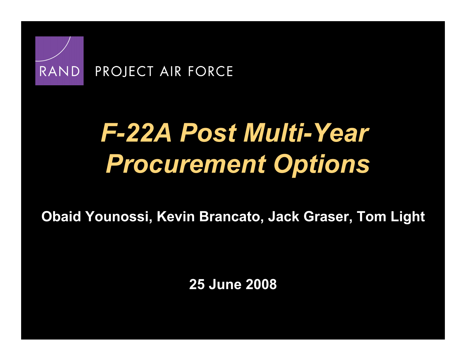

# *F-22A Post Multi-Year Procurement Options*

**Obaid Younossi, Kevin Brancato, Jack Graser, Tom Light** 

**25 June 2008**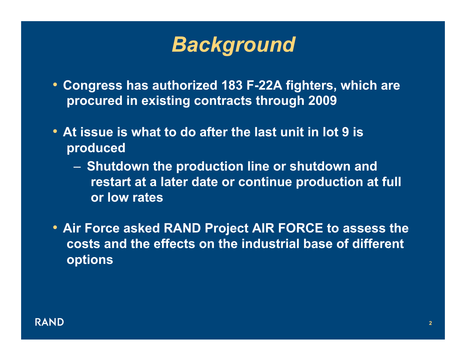## *Background*

- **Congress has authorized 183 F-22A fighters, which are procured in existing contracts through 2009**
- **At issue is what to do after the last unit in lot 9 is produced** 
	- **Shutdown the production line or shutdown and restart at a later date or continue production at full or low rates**
- **Air Force asked RAND Project AIR FORCE to assess the costs and the effects on the industrial base of different options**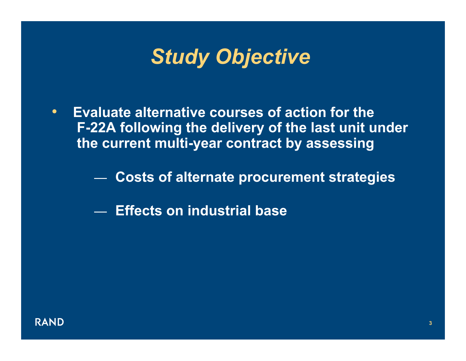## *Study Objective*

- **Evaluate alternative courses of action for the F-22A following the delivery of the last unit under the current multi-year contract by assessing** 
	- **Costs of alternate procurement strategies**
	- **Effects on industrial base**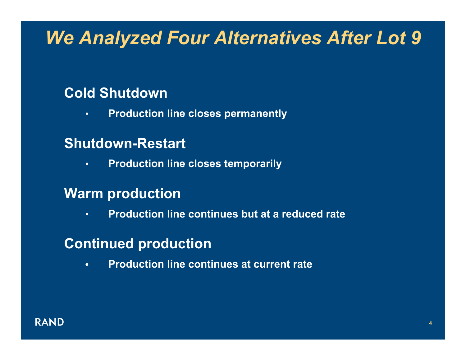#### *We Analyzed Four Alternatives After Lot 9*

#### **Cold Shutdown**

• **Production line closes permanently** 

#### **Shutdown-Restart**

• **Production line closes temporarily** 

#### **Warm production**

• **Production line continues but at a reduced rate** 

#### **Continued production**

• **Production line continues at current rate**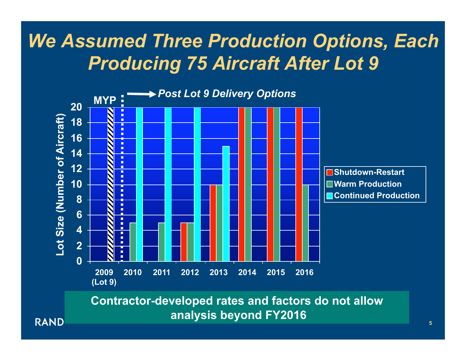### *We Assumed Three Production Options, Each Producing 75 Aircraft After Lot 9*



**Contractor-developed rates and factors do not allow analysis beyond FY2016** 

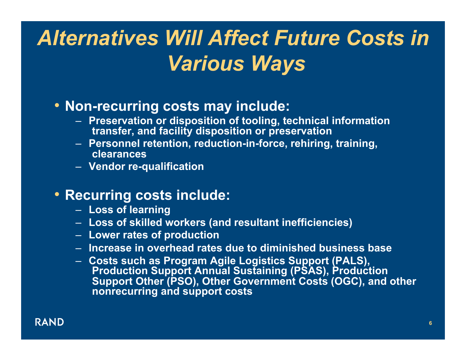## *Alternatives Will Affect Future Costs in Various Ways*

#### • **Non-recurring costs may include:**

- **Preservation or disposition of tooling, technical information transfer, and facility disposition or preservation**
- **Personnel retention, reduction-in-force, rehiring, training, clearances**
- **Vendor re-qualification**

#### • **Recurring costs include:**

- **Loss of learning**
- **Loss of skilled workers (and resultant inefficiencies)**
- **Lower rates of production**
- **Increase in overhead rates due to diminished business base**
- **Costs such as Program Agile Logistics Support (PALS), Production Support Annual Sustaining (PSAS), Production Support Other (PSO), Other Government Costs (OGC), and other nonrecurring and support costs**

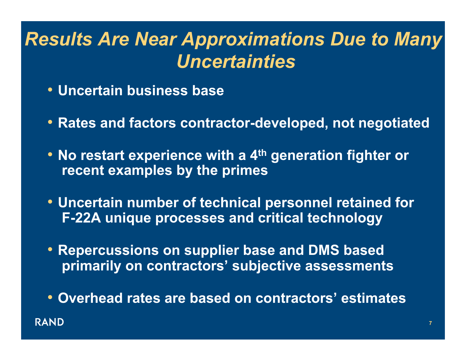### *Results Are Near Approximations Due to Many Uncertainties*

- **Uncertain business base**
- **Rates and factors contractor-developed, not negotiated**
- **No restart experience with a 4th generation fighter or recent examples by the primes**
- **Uncertain number of technical personnel retained for F-22A unique processes and critical technology**
- **Repercussions on supplier base and DMS based primarily on contractors' subjective assessments**
- **Overhead rates are based on contractors' estimates**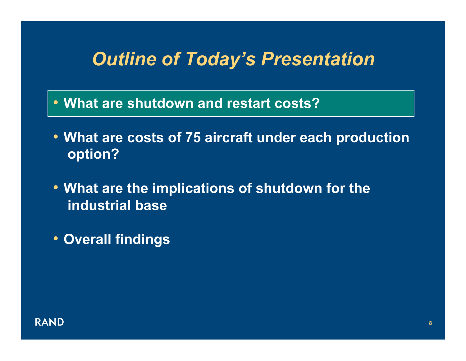#### *Outline of Today's Presentation*

- **What are shutdown and restart costs?**
- **What are costs of 75 aircraft under each production option?**
- **What are the implications of shutdown for the industrial base**
- **Overall findings**

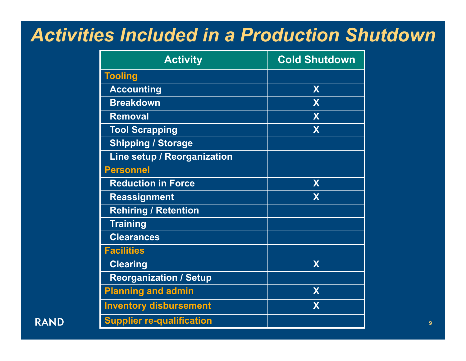#### *Activities Included in a Production Shutdown*

| <b>Activity</b>                  | <b>Cold Shutdown</b> |
|----------------------------------|----------------------|
| <b>Tooling</b>                   |                      |
| <b>Accounting</b>                | X                    |
| <b>Breakdown</b>                 | X                    |
| <b>Removal</b>                   | X                    |
| <b>Tool Scrapping</b>            | X                    |
| <b>Shipping / Storage</b>        |                      |
| Line setup / Reorganization      |                      |
| <b>Personnel</b>                 |                      |
| <b>Reduction in Force</b>        | X                    |
| <b>Reassignment</b>              | X                    |
| <b>Rehiring / Retention</b>      |                      |
| <b>Training</b>                  |                      |
| <b>Clearances</b>                |                      |
| <b>Facilities</b>                |                      |
| <b>Clearing</b>                  | X                    |
| <b>Reorganization / Setup</b>    |                      |
| <b>Planning and admin</b>        | X                    |
| <b>Inventory disbursement</b>    | X                    |
| <b>Supplier re-qualification</b> |                      |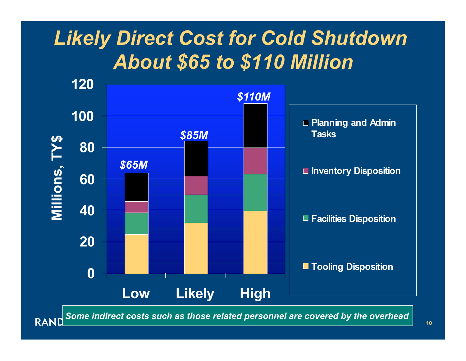## *Likely Direct Cost for Cold Shutdown About \$65 to \$110 Million*

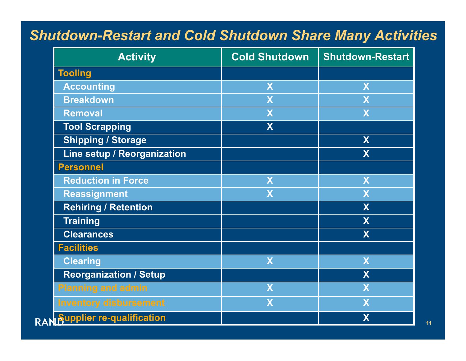#### *Shutdown-Restart and Cold Shutdown Share Many Activities*

| <b>Activity</b>                     | <b>Cold Shutdown</b> | <b>Shutdown-Restart</b> |
|-------------------------------------|----------------------|-------------------------|
| <b>Tooling</b>                      |                      |                         |
| <b>Accounting</b>                   | X                    | X                       |
| <b>Breakdown</b>                    | X                    | X                       |
| <b>Removal</b>                      | X                    | X                       |
| <b>Tool Scrapping</b>               | X                    |                         |
| <b>Shipping / Storage</b>           |                      | X                       |
| Line setup / Reorganization         |                      | X                       |
| <b>Personnel</b>                    |                      |                         |
| <b>Reduction in Force</b>           | X                    | X                       |
| <b>Reassignment</b>                 | X                    | X                       |
| <b>Rehiring / Retention</b>         |                      | X                       |
| <b>Training</b>                     |                      | X                       |
| <b>Clearances</b>                   |                      | X                       |
| <b>Facilities</b>                   |                      |                         |
| <b>Clearing</b>                     | X                    | X                       |
| <b>Reorganization / Setup</b>       |                      | X                       |
| <b>Planning and admin</b>           | X                    | X                       |
| <b>Inventory disbursement</b>       | X                    | X                       |
| <b>RANSupplier re-qualification</b> |                      | X                       |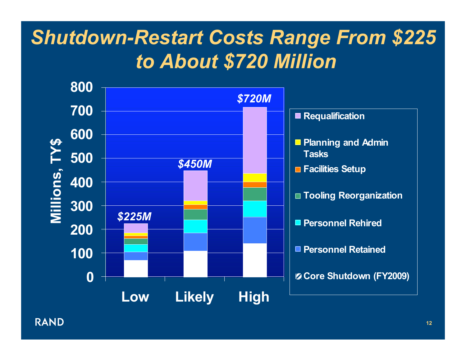## *Shutdown-Restart Costs Range From \$225 to About \$720 Million*

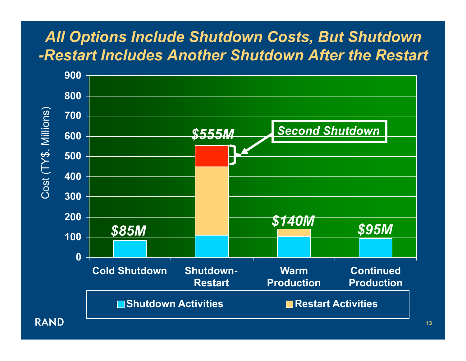#### *All Options Include Shutdown Costs, But Shutdown -Restart Includes Another Shutdown After the Restart*

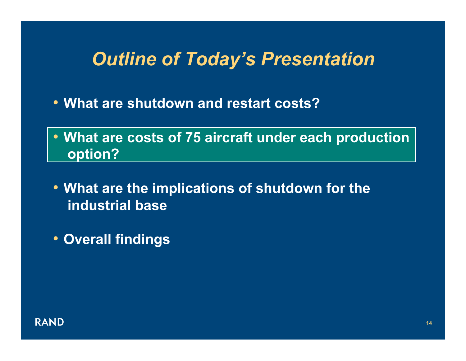#### *Outline of Today's Presentation*

- **What are shutdown and restart costs?**
- **What are costs of 75 aircraft under each production option?**
- **What are the implications of shutdown for the industrial base**
- **Overall findings**

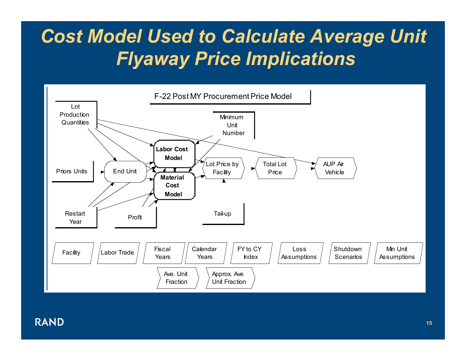## *Cost Model Used to Calculate Average Unit Flyaway Price Implications*

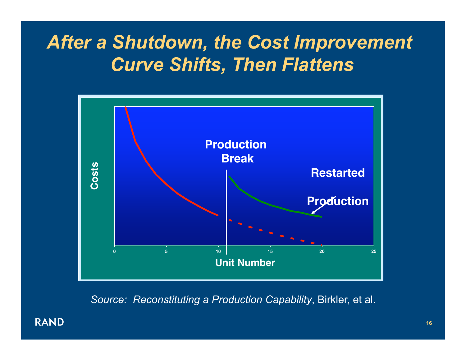### *After a Shutdown, the Cost Improvement Curve Shifts, Then Flattens*



*Source: Reconstituting a Production Capability*, Birkler, et al.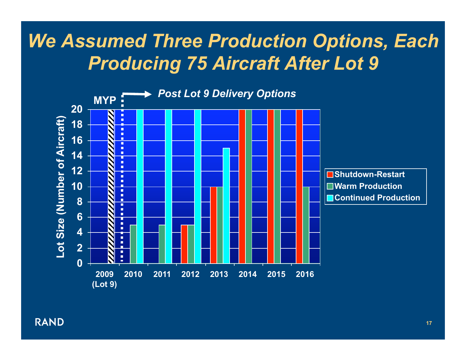#### *We Assumed Three Production Options, Each Producing 75 Aircraft After Lot 9*

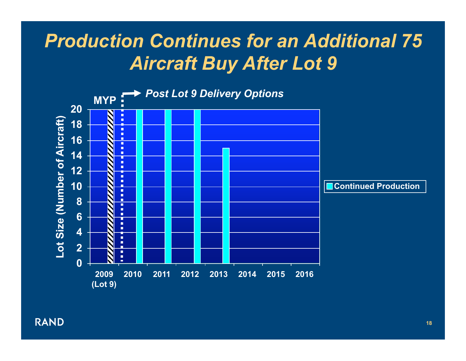### *Production Continues for an Additional 75 Aircraft Buy After Lot 9*

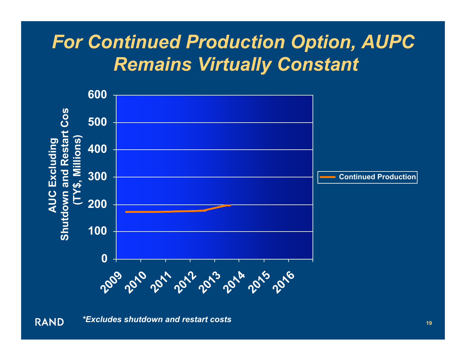### *For Continued Production Option, AUPC Remains Virtually Constant*

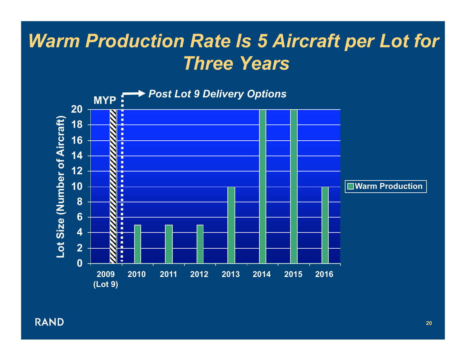#### *Warm Production Rate Is 5 Aircraft per Lot for Three Years*

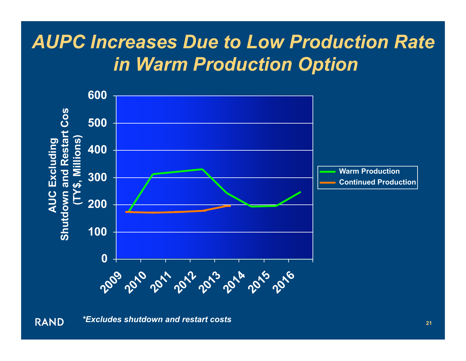#### *AUPC Increases Due to Low Production Rate in Warm Production Option*

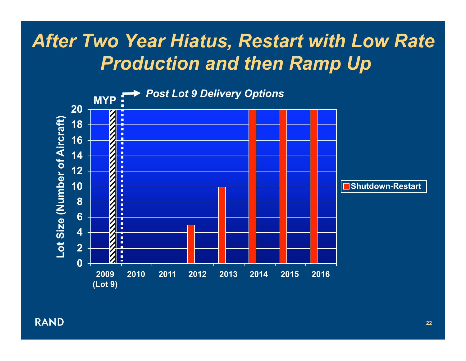#### *After Two Year Hiatus, Restart with Low Rate Production and then Ramp Up*

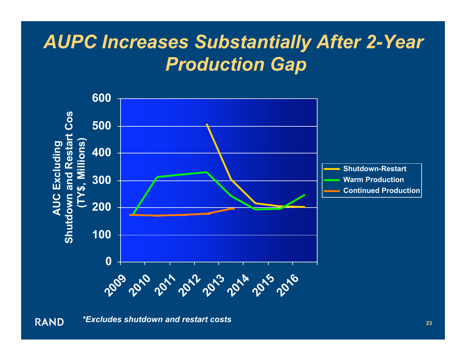### *AUPC Increases Substantially After 2-Year Production Gap*



#### **RAND** *\*Excludes shutdown and restart costs*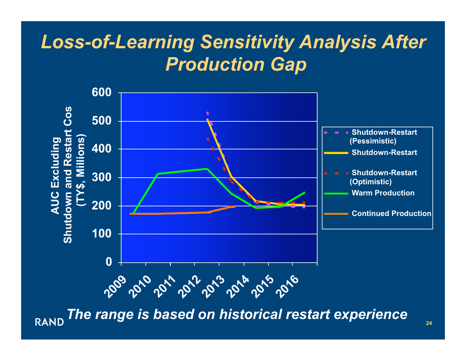### *Loss-of-Learning Sensitivity Analysis After Production Gap*



*The range is based on historical restart experience* RAND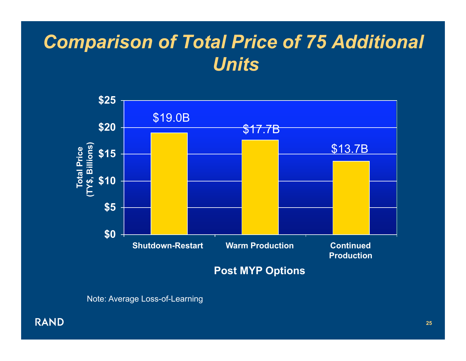### *Comparison of Total Price of 75 Additional Units*



Note: Average Loss-of-Learning

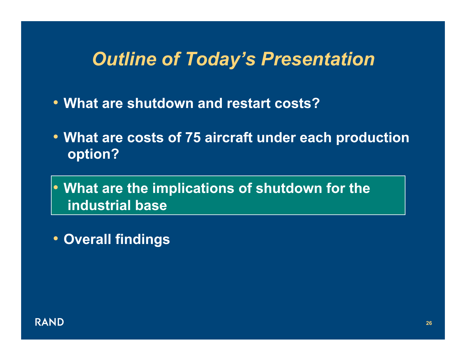#### *Outline of Today's Presentation*

- **What are shutdown and restart costs?**
- **What are costs of 75 aircraft under each production option?**
- **What are the implications of shutdown for the industrial base**
- **Overall findings**

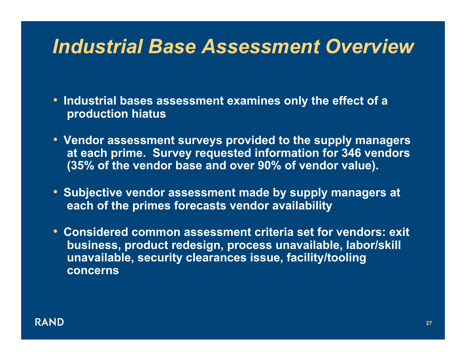#### *Industrial Base Assessment Overview*

- **Industrial bases assessment examines only the effect of a production hiatus**
- **Vendor assessment surveys provided to the supply managers at each prime. Survey requested information for 346 vendors (35% of the vendor base and over 90% of vendor value).**
- **Subjective vendor assessment made by supply managers at each of the primes forecasts vendor availability**
- **Considered common assessment criteria set for vendors: exit business, product redesign, process unavailable, labor/skill unavailable, security clearances issue, facility/tooling concerns**

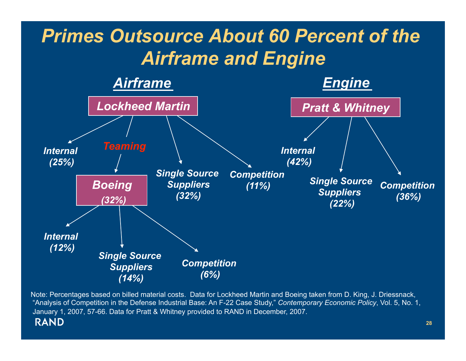

Note: Percentages based on billed material costs. Data for Lockheed Martin and Boeing taken from D. King, J. Driessnack, "Analysis of Competition in the Defense Industrial Base: An F-22 Case Study," *Contemporary Economic Policy*, Vol. 5, No. 1, January 1, 2007, 57-66. Data for Pratt & Whitney provided to RAND in December, 2007.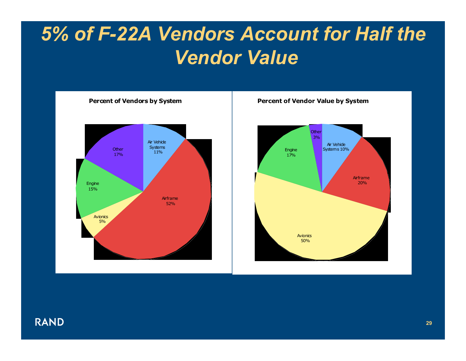## *5% of F-22A Vendors Account for Half the Vendor Value*



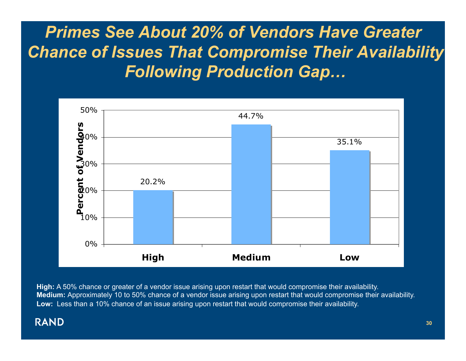#### *Primes See About 20% of Vendors Have Greater Chance of Issues That Compromise Their Availability Following Production Gap…*



**High:** A 50% chance or greater of a vendor issue arising upon restart that would compromise their availability. **Medium:** Approximately 10 to 50% chance of a vendor issue arising upon restart that would compromise their availability. **Low:** Less than a 10% chance of an issue arising upon restart that would compromise their availability.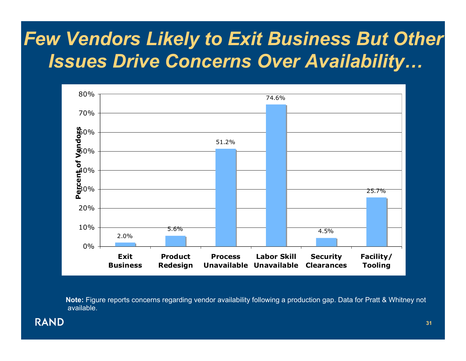## *Few Vendors Likely to Exit Business But Other Issues Drive Concerns Over Availability…*



**Note:** Figure reports concerns regarding vendor availability following a production gap. Data for Pratt & Whitney not available.

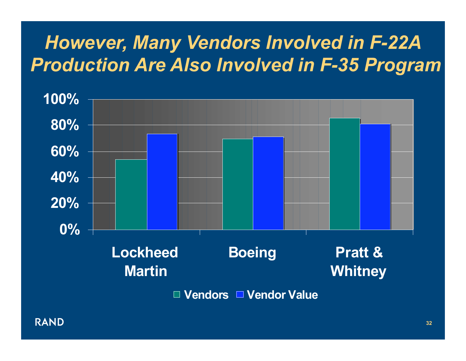## *However, Many Vendors Involved in F-22A Production Are Also Involved in F-35 Program*

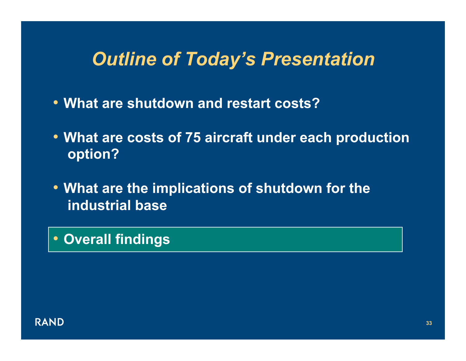#### *Outline of Today's Presentation*

- **What are shutdown and restart costs?**
- **What are costs of 75 aircraft under each production option?**
- **What are the implications of shutdown for the industrial base**

#### • **Overall findings**

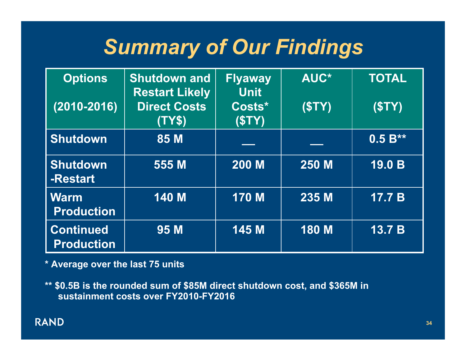## *Summary of Our Findings*

| <b>Options</b><br>$(2010 - 2016)$     | <b>Shutdown and</b><br><b>Restart Likely</b><br><b>Direct Costs</b><br>(TY\$) | <b>Flyaway</b><br><b>Unit</b><br>Costs*<br>(STY) | AUC*<br>(STY) | <b>TOTAL</b><br>(STY) |
|---------------------------------------|-------------------------------------------------------------------------------|--------------------------------------------------|---------------|-----------------------|
| Shutdown                              | 85 M                                                                          |                                                  |               | $0.5 B***$            |
| <b>Shutdown</b><br>-Restart           | 555 M                                                                         | <b>200 M</b>                                     | 250 M         | 19.0 B                |
| <b>Warm</b><br><b>Production</b>      | 140 M                                                                         | <b>170 M</b>                                     | 235 M         | 17.7 B                |
| <b>Continued</b><br><b>Production</b> | 95 M                                                                          | 145 M                                            | <b>180 M</b>  | 13.7 B                |

**\* Average over the last 75 units** 

**\*\* \$0.5B is the rounded sum of \$85M direct shutdown cost, and \$365M in sustainment costs over FY2010-FY2016**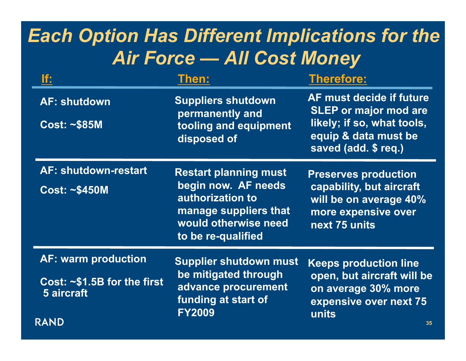### *Each Option Has Different Implications for the Air Force — All Cost Money*

| lf:                                                                                    | Then:                                                                                                                                          | <b>Therefore:</b>                                                                                                                      |
|----------------------------------------------------------------------------------------|------------------------------------------------------------------------------------------------------------------------------------------------|----------------------------------------------------------------------------------------------------------------------------------------|
| <b>AF: shutdown</b><br><b>Cost: ~\$85M</b>                                             | <b>Suppliers shutdown</b><br>permanently and<br>tooling and equipment<br>disposed of                                                           | AF must decide if future<br><b>SLEP or major mod are</b><br>likely; if so, what tools,<br>equip & data must be<br>saved (add. \$ req.) |
| <b>AF: shutdown-restart</b><br><b>Cost: ~\$450M</b>                                    | <b>Restart planning must</b><br>begin now. AF needs<br>authorization to<br>manage suppliers that<br>would otherwise need<br>to be re-qualified | <b>Preserves production</b><br>capability, but aircraft<br>will be on average 40%<br>more expensive over<br>next 75 units              |
| <b>AF: warm production</b><br>Cost: ~\$1.5B for the first<br>5 aircraft<br><b>RAND</b> | <b>Supplier shutdown must</b><br>be mitigated through<br>advance procurement<br>funding at start of<br><b>FY2009</b>                           | <b>Keeps production line</b><br>open, but aircraft will be<br>on average 30% more<br>expensive over next 75<br>units<br>35             |